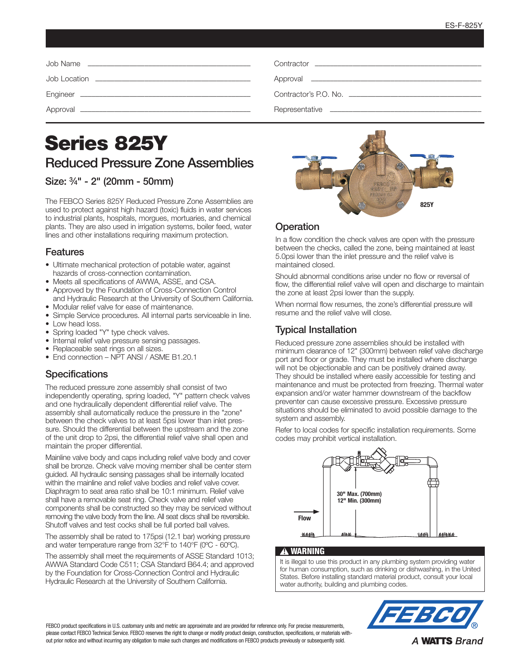| Contractor <b>Contractor Contractor Contractor Contractor Contractor Contractor</b> |
|-------------------------------------------------------------------------------------|
|                                                                                     |
|                                                                                     |
|                                                                                     |

# Series 825Y Reduced Pressure Zone Assemblies

## Size: 3⁄4" - 2" (20mm - 50mm)

The FEBCO Series 825Y Reduced Pressure Zone Assemblies are used to protect against high hazard (toxic) fluids in water services to industrial plants, hospitals, morgues, mortuaries, and chemical plants. They are also used in irrigation systems, boiler feed, water lines and other installations requiring maximum protection.

#### Features

- Ultimate mechanical protection of potable water, against hazards of cross-connection contamination.
- Meets all specifications of AWWA, ASSE, and CSA.
- Approved by the Foundation of Cross-Connection Control and Hydraulic Research at the University of Southern California.
- Modular relief valve for ease of maintenance.
- Simple Service procedures. All internal parts serviceable in line.
- Low head loss.
- Spring loaded "Y" type check valves.
- Internal relief valve pressure sensing passages.
- Replaceable seat rings on all sizes.
- End connection NPT ANSI / ASME B1.20.1

## **Specifications**

The reduced pressure zone assembly shall consist of two independently operating, spring loaded, "Y" pattern check valves and one hydraulically dependent differential relief valve. The assembly shall automatically reduce the pressure in the "zone" between the check valves to at least 5psi lower than inlet pressure. Should the differential between the upstream and the zone of the unit drop to 2psi, the differential relief valve shall open and maintain the proper differential.

Mainline valve body and caps including relief valve body and cover shall be bronze. Check valve moving member shall be center stem guided. All hydraulic sensing passages shall be internally located within the mainline and relief valve bodies and relief valve cover. Diaphragm to seat area ratio shall be 10:1 minimum. Relief valve shall have a removable seat ring. Check valve and relief valve components shall be constructed so they may be serviced without removing the valve body from the line. All seat discs shall be reversible. Shutoff valves and test cocks shall be full ported ball valves.

The assembly shall be rated to 175psi (12.1 bar) working pressure and water temperature range from 32°F to 140°F (0ºC - 60ºC).

The assembly shall meet the requirements of ASSE Standard 1013; AWWA Standard Code C511; CSA Standard B64.4; and approved by the Foundation for Cross-Connection Control and Hydraulic Hydraulic Research at the University of Southern California.



## **Operation**

In a flow condition the check valves are open with the pressure between the checks, called the zone, being maintained at least 5.0psi lower than the inlet pressure and the relief valve is maintained closed.

Should abnormal conditions arise under no flow or reversal of flow, the differential relief valve will open and discharge to maintain the zone at least 2psi lower than the supply.

When normal flow resumes, the zone's differential pressure will resume and the relief valve will close.

# Typical Installation

Reduced pressure zone assemblies should be installed with minimum clearance of 12" (300mm) between relief valve discharge port and floor or grade. They must be installed where discharge will not be objectionable and can be positively drained away. They should be installed where easily accessible for testing and maintenance and must be protected from freezing. Thermal water expansion and/or water hammer downstream of the backflow preventer can cause excessive pressure. Excessive pressure situations should be eliminated to avoid possible damage to the system and assembly.

Refer to local codes for specific installation requirements. Some codes may prohibit vertical installation.



#### **A WARNING**

It is illegal to use this product in any plumbing system providing water for human consumption, such as drinking or dishwashing, in the United States. Before installing standard material product, consult your local water authority, building and plumbing codes.



FEBCO product specifications in U.S. customary units and metric are approximate and are provided for reference only. For precise measurements, please contact FEBCO Technical Service. FEBCO reserves the right to change or modify product design, construction, specifications, or materials without prior notice and without incurring any obligation to make such changes and modifications on FEBCO products previously or subsequently sold.

**A WATTS Brand**